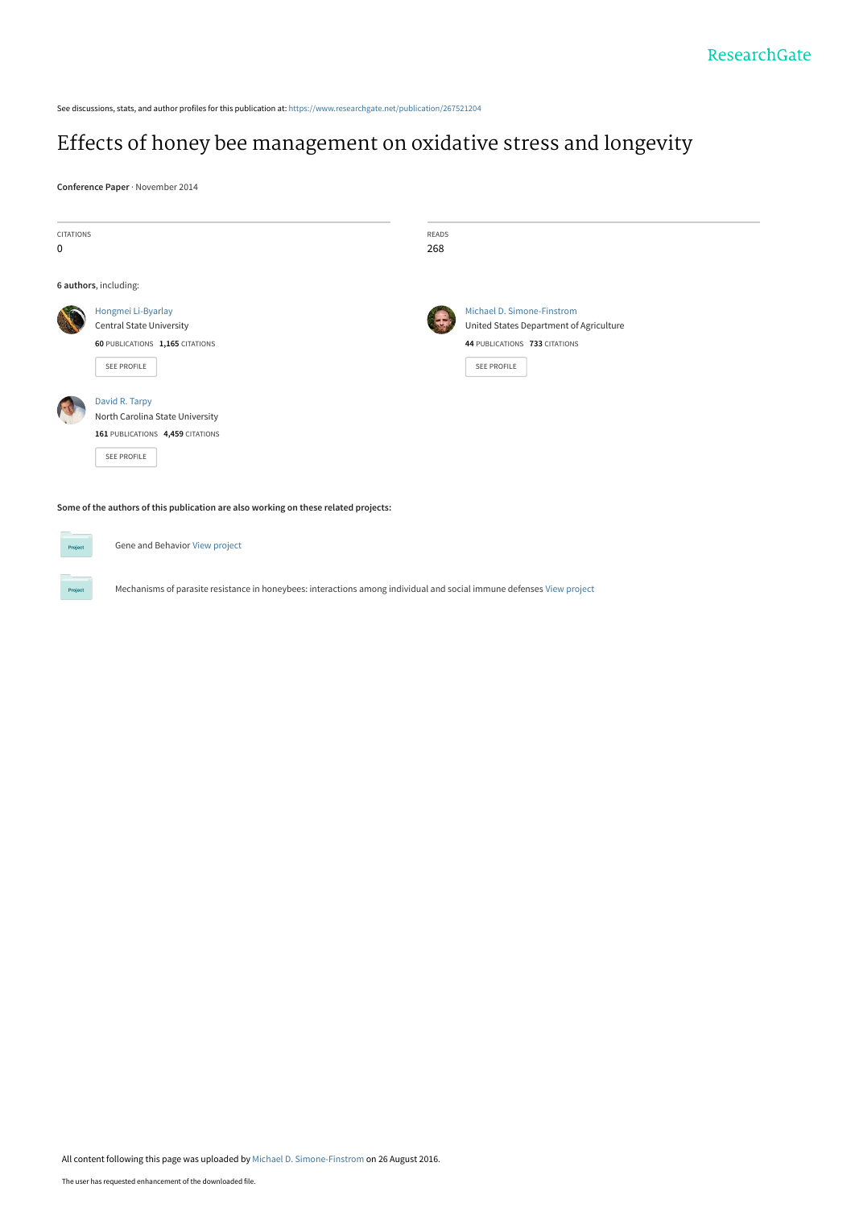See discussions, stats, and author profiles for this publication at: [https://www.researchgate.net/publication/267521204](https://www.researchgate.net/publication/267521204_Effects_of_honey_bee_management_on_oxidative_stress_and_longevity?enrichId=rgreq-fd4ca3ac3ffb6230b475d7987d637d6b-XXX&enrichSource=Y292ZXJQYWdlOzI2NzUyMTIwNDtBUzozOTkzODA4MzUyNTgzNjhAMTQ3MjIzMTIxOTUyOQ%3D%3D&el=1_x_2&_esc=publicationCoverPdf)

### [Effects of honey bee management on oxidative stress and longevity](https://www.researchgate.net/publication/267521204_Effects_of_honey_bee_management_on_oxidative_stress_and_longevity?enrichId=rgreq-fd4ca3ac3ffb6230b475d7987d637d6b-XXX&enrichSource=Y292ZXJQYWdlOzI2NzUyMTIwNDtBUzozOTkzODA4MzUyNTgzNjhAMTQ3MjIzMTIxOTUyOQ%3D%3D&el=1_x_3&_esc=publicationCoverPdf)

**Conference Paper** · November 2014

| <b>CITATIONS</b>                                                                    |                                  | <b>READS</b> |                                         |
|-------------------------------------------------------------------------------------|----------------------------------|--------------|-----------------------------------------|
| 0                                                                                   |                                  | 268          |                                         |
|                                                                                     | 6 authors, including:            |              |                                         |
|                                                                                     | Hongmei Li-Byarlay               |              | Michael D. Simone-Finstrom              |
|                                                                                     | <b>Central State University</b>  |              | United States Department of Agriculture |
|                                                                                     | 60 PUBLICATIONS 1,165 CITATIONS  |              | 44 PUBLICATIONS 733 CITATIONS           |
|                                                                                     | SEE PROFILE                      |              | SEE PROFILE                             |
|                                                                                     | David R. Tarpy                   |              |                                         |
|                                                                                     | North Carolina State University  |              |                                         |
|                                                                                     | 161 PUBLICATIONS 4,459 CITATIONS |              |                                         |
|                                                                                     | <b>SEE PROFILE</b>               |              |                                         |
| Some of the authors of this publication are also working on these related projects: |                                  |              |                                         |

Gene and Behavior [View project](https://www.researchgate.net/project/Gene-and-Behavior?enrichId=rgreq-fd4ca3ac3ffb6230b475d7987d637d6b-XXX&enrichSource=Y292ZXJQYWdlOzI2NzUyMTIwNDtBUzozOTkzODA4MzUyNTgzNjhAMTQ3MjIzMTIxOTUyOQ%3D%3D&el=1_x_9&_esc=publicationCoverPdf)

**Project** 

Mechanisms of parasite resistance in honeybees: interactions among individual and social immune defenses [View project](https://www.researchgate.net/project/Mechanisms-of-parasite-resistance-in-honeybees-interactions-among-individual-and-social-immune-defenses?enrichId=rgreq-fd4ca3ac3ffb6230b475d7987d637d6b-XXX&enrichSource=Y292ZXJQYWdlOzI2NzUyMTIwNDtBUzozOTkzODA4MzUyNTgzNjhAMTQ3MjIzMTIxOTUyOQ%3D%3D&el=1_x_9&_esc=publicationCoverPdf)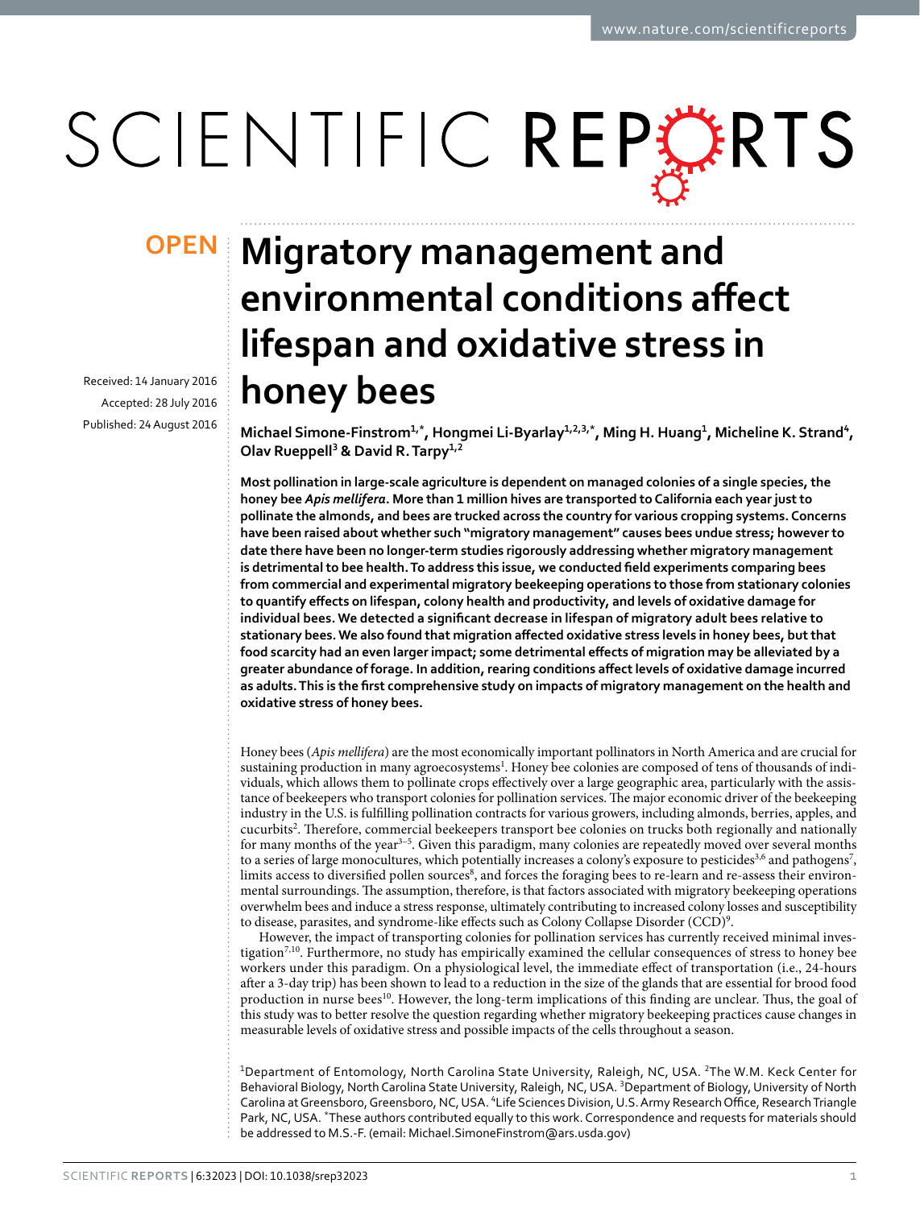# SCIENTIFIC REPERTS

Received: 14 January 2016 accepted: 28 July 2016 Published: 24 August 2016

## **Migratory management and OPENenvironmental conditions affect lifespan and oxidative stress in honey bees**

Michael Simone-Finstrom<sup>1,\*</sup>, Hongmei Li-Byarlay<sup>1,2,3,\*</sup>, Ming H. Huang<sup>1</sup>, Micheline K. Strand<sup>4</sup>, **Olav Rueppell<sup>3</sup> & David R.Tarpy<sup>1</sup>,<sup>2</sup>**

**Most pollination in large-scale agriculture is dependent on managed colonies of a single species, the honey bee** *Apis mellifera***. More than 1 million hives are transported to California each year just to pollinate the almonds, and bees are trucked across the country for various cropping systems. Concerns have been raised about whether such "migratory management" causes bees undue stress; however to date there have been no longer-term studies rigorously addressing whether migratory management is detrimental to bee health. To address this issue, we conducted field experiments comparing bees from commercial and experimental migratory beekeeping operations to those from stationary colonies to quantify effects on lifespan, colony health and productivity, and levels of oxidative damage for individual bees. We detected a significant decrease in lifespan of migratory adult bees relative to stationary bees. We also found that migration affected oxidative stress levels in honey bees, but that food scarcity had an even larger impact; some detrimental effects of migration may be alleviated by a greater abundance of forage. In addition, rearing conditions affect levels of oxidative damage incurred as adults. This is the first comprehensive study on impacts of migratory management on the health and oxidative stress of honey bees.**

Honey bees (*Apis mellifera*) are the most economically important pollinators in North America and are crucial for sustaining production in many agroecosystems<sup>1</sup>. Honey bee colonies are composed of tens of thousands of individuals, which allows them to pollinate crops effectively over a large geographic area, particularly with the assistance of beekeepers who transport colonies for pollination services. The major economic driver of the beekeeping industry in the U.S. is fulfilling pollination contracts for various growers, including almonds, berries, apples, and cucurbits<sup>[2](#page-8-1)</sup>. Therefore, commercial beekeepers transport bee colonies on trucks both regionally and nationally for many months of the year<sup>3-5</sup>. Given this paradigm, many colonies are repeatedly moved over several months to a series of large monocultures, which potentially increases a colony's exposure to pesticides<sup>[3,](#page-8-2)6</sup> and pathogens<sup>[7](#page-8-4)</sup>, limits access to diversified pollen sources $^8$ , and forces the foraging bees to re-learn and re-assess their environmental surroundings. The assumption, therefore, is that factors associated with migratory beekeeping operations overwhelm bees and induce a stress response, ultimately contributing to increased colony losses and susceptibility to disease, parasites, and syndrome-like effects such as Colony Collapse Disorder (CCD[\)9](#page-8-6) .

However, the impact of transporting colonies for pollination services has currently received minimal investigatio[n7](#page-8-4)[,10](#page-8-7). Furthermore, no study has empirically examined the cellular consequences of stress to honey bee workers under this paradigm. On a physiological level, the immediate effect of transportation (i.e., 24-hours after a 3-day trip) has been shown to lead to a reduction in the size of the glands that are essential for brood food production in nurse bees<sup>[10](#page-8-7)</sup>. However, the long-term implications of this finding are unclear. Thus, the goal of this study was to better resolve the question regarding whether migratory beekeeping practices cause changes in measurable levels of oxidative stress and possible impacts of the cells throughout a season.

<sup>1</sup>Department of Entomology, North Carolina State University, Raleigh, NC, USA. <sup>2</sup>The W.M. Keck Center for Behavioral Biology, North Carolina State University, Raleigh, NC, USA. <sup>3</sup>Department of Biology, University of North Carolina at Greensboro, Greensboro, NC, USA. <sup>4</sup>Life Sciences Division, U.S. Army Research Office, Research Triangle Park, NC, USA. \*These authors contributed equally to this work. Correspondence and requests for materials should be addressed to M.S.-F. (email: [Michael.SimoneFinstrom@ars.usda.gov\)](mailto:Michael.SimoneFinstrom@ars.usda.gov)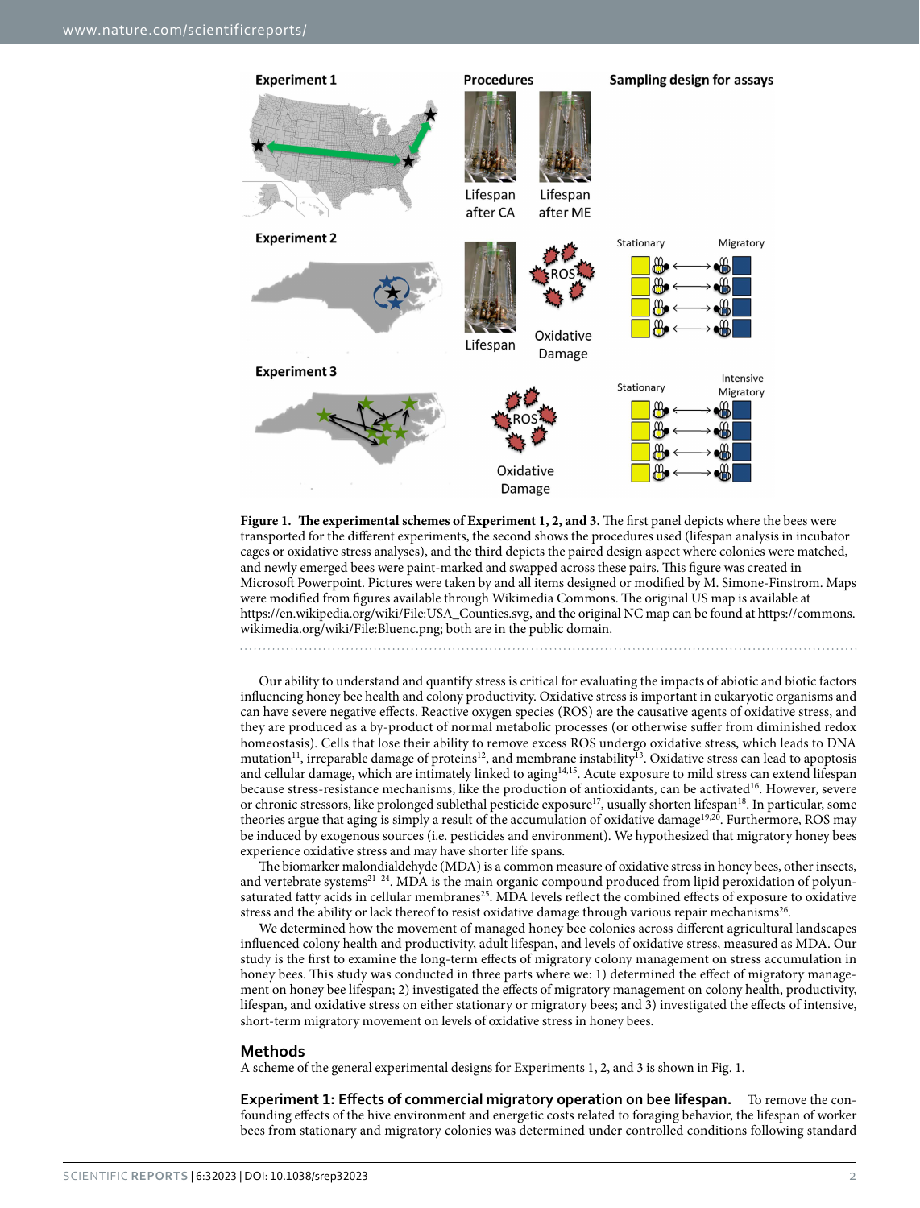

<span id="page-2-0"></span>**Figure 1. The experimental schemes of Experiment 1, 2, and 3.** The first panel depicts where the bees were transported for the different experiments, the second shows the procedures used (lifespan analysis in incubator cages or oxidative stress analyses), and the third depicts the paired design aspect where colonies were matched, and newly emerged bees were paint-marked and swapped across these pairs. This figure was created in Microsoft Powerpoint. Pictures were taken by and all items designed or modified by M. Simone-Finstrom. Maps were modified from figures available through Wikimedia Commons. The original US map is available at [https://en.wikipedia.org/wiki/File:USA\\_Counties.svg,](https://en.wikipedia.org/wiki/File:USA_Counties.svg) and the original NC map can be found at [https://commons.](https://commons.wikimedia.org/wiki/File:Bluenc.png) [wikimedia.org/wiki/File:Bluenc.png;](https://commons.wikimedia.org/wiki/File:Bluenc.png) both are in the public domain.

Our ability to understand and quantify stress is critical for evaluating the impacts of abiotic and biotic factors influencing honey bee health and colony productivity. Oxidative stress is important in eukaryotic organisms and can have severe negative effects. Reactive oxygen species (ROS) are the causative agents of oxidative stress, and they are produced as a by-product of normal metabolic processes (or otherwise suffer from diminished redox homeostasis). Cells that lose their ability to remove excess ROS undergo oxidative stress, which leads to DNA mutation<sup>11</sup>, irreparable damage of proteins<sup>12</sup>, and membrane instability<sup>13</sup>. Oxidative stress can lead to apoptosis and cellular damage, which are intimately linked to aging<sup>14,15</sup>. Acute exposure to mild stress can extend lifespan because stress-resistance mechanisms, like the production of antioxidants, can be activated[16.](#page-9-0) However, severe or chronic stressors, like prolonged sublethal pesticide exposure<sup>17</sup>, usually shorten lifespan<sup>[18](#page-9-2)</sup>. In particular, some theories argue that aging is simply a result of the accumulation of oxidative damage<sup>[19](#page-9-3),[20](#page-9-4)</sup>. Furthermore, ROS may be induced by exogenous sources (i.e. pesticides and environment). We hypothesized that migratory honey bees experience oxidative stress and may have shorter life spans.

The biomarker malondialdehyde (MDA) is a common measure of oxidative stress in honey bees, other insects, and vertebrate systems<sup>21-24</sup>. MDA is the main organic compound produced from lipid peroxidation of polyunsaturated fatty acids in cellular membranes<sup>25</sup>. MDA levels reflect the combined effects of exposure to oxidative stress and the ability or lack thereof to resist oxidative damage through various repair mechanisms<sup>[26](#page-9-7)</sup>.

We determined how the movement of managed honey bee colonies across different agricultural landscapes influenced colony health and productivity, adult lifespan, and levels of oxidative stress, measured as MDA. Our study is the first to examine the long-term effects of migratory colony management on stress accumulation in honey bees. This study was conducted in three parts where we: 1) determined the effect of migratory management on honey bee lifespan; 2) investigated the effects of migratory management on colony health, productivity, lifespan, and oxidative stress on either stationary or migratory bees; and 3) investigated the effects of intensive, short-term migratory movement on levels of oxidative stress in honey bees.

#### **Methods**

A scheme of the general experimental designs for Experiments 1, 2, and 3 is shown in [Fig. 1](#page-2-0).

**Experiment 1: Effects of commercial migratory operation on bee lifespan.** To remove the confounding effects of the hive environment and energetic costs related to foraging behavior, the lifespan of worker bees from stationary and migratory colonies was determined under controlled conditions following standard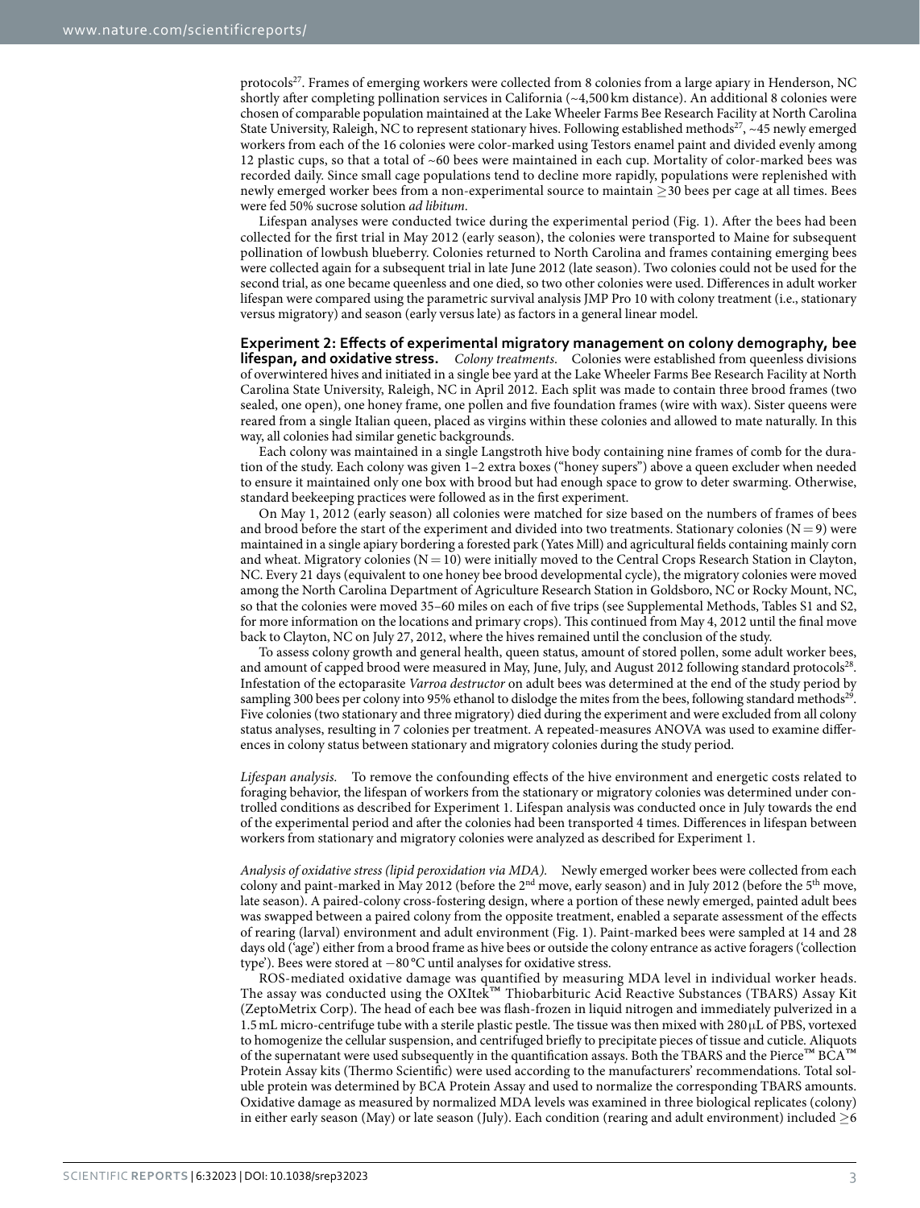protocols<sup>[27](#page-9-8)</sup>. Frames of emerging workers were collected from 8 colonies from a large apiary in Henderson, NC shortly after completing pollination services in California (~4,500 km distance). An additional 8 colonies were chosen of comparable population maintained at the Lake Wheeler Farms Bee Research Facility at North Carolina State University, Raleigh, NC to represent stationary hives. Following established methods<sup>27</sup>, ~45 newly emerged workers from each of the 16 colonies were color-marked using Testors enamel paint and divided evenly among 12 plastic cups, so that a total of ~60 bees were maintained in each cup. Mortality of color-marked bees was recorded daily. Since small cage populations tend to decline more rapidly, populations were replenished with newly emerged worker bees from a non-experimental source to maintain ≥30 bees per cage at all times. Bees were fed 50% sucrose solution *ad libitum*.

Lifespan analyses were conducted twice during the experimental period ([Fig. 1\)](#page-2-0). After the bees had been collected for the first trial in May 2012 (early season), the colonies were transported to Maine for subsequent pollination of lowbush blueberry. Colonies returned to North Carolina and frames containing emerging bees were collected again for a subsequent trial in late June 2012 (late season). Two colonies could not be used for the second trial, as one became queenless and one died, so two other colonies were used. Differences in adult worker lifespan were compared using the parametric survival analysis JMP Pro 10 with colony treatment (i.e., stationary versus migratory) and season (early versus late) as factors in a general linear model.

**Experiment 2: Effects of experimental migratory management on colony demography, bee lifespan, and oxidative stress.** *Colony treatments*. Colonies were established from queenless divisions of overwintered hives and initiated in a single bee yard at the Lake Wheeler Farms Bee Research Facility at North Carolina State University, Raleigh, NC in April 2012. Each split was made to contain three brood frames (two sealed, one open), one honey frame, one pollen and five foundation frames (wire with wax). Sister queens were reared from a single Italian queen, placed as virgins within these colonies and allowed to mate naturally. In this way, all colonies had similar genetic backgrounds.

Each colony was maintained in a single Langstroth hive body containing nine frames of comb for the duration of the study. Each colony was given 1–2 extra boxes ("honey supers") above a queen excluder when needed to ensure it maintained only one box with brood but had enough space to grow to deter swarming. Otherwise, standard beekeeping practices were followed as in the first experiment.

On May 1, 2012 (early season) all colonies were matched for size based on the numbers of frames of bees and brood before the start of the experiment and divided into two treatments. Stationary colonies ( $N=9$ ) were maintained in a single apiary bordering a forested park (Yates Mill) and agricultural fields containing mainly corn and wheat. Migratory colonies  $(N= 10)$  were initially moved to the Central Crops Research Station in Clayton, NC. Every 21 days (equivalent to one honey bee brood developmental cycle), the migratory colonies were moved among the North Carolina Department of Agriculture Research Station in Goldsboro, NC or Rocky Mount, NC, so that the colonies were moved 35–60 miles on each of five trips (see Supplemental Methods, Tables S1 and S2, for more information on the locations and primary crops). This continued from May 4, 2012 until the final move back to Clayton, NC on July 27, 2012, where the hives remained until the conclusion of the study.

To assess colony growth and general health, queen status, amount of stored pollen, some adult worker bees, and amount of capped brood were measured in May, June, July, and August 2012 following standard protocols<sup>28</sup>. Infestation of the ectoparasite *Varroa destructor* on adult bees was determined at the end of the study period by sampling 300 bees per colony into 95% ethanol to dislodge the mites from the bees, following standard methods<sup>29</sup>. Five colonies (two stationary and three migratory) died during the experiment and were excluded from all colony status analyses, resulting in 7 colonies per treatment. A repeated-measures ANOVA was used to examine differences in colony status between stationary and migratory colonies during the study period.

*Lifespan analysis.* To remove the confounding effects of the hive environment and energetic costs related to foraging behavior, the lifespan of workers from the stationary or migratory colonies was determined under controlled conditions as described for Experiment 1. Lifespan analysis was conducted once in July towards the end of the experimental period and after the colonies had been transported 4 times. Differences in lifespan between workers from stationary and migratory colonies were analyzed as described for Experiment 1.

*Analysis of oxidative stress (lipid peroxidation via MDA).* Newly emerged worker bees were collected from each colony and paint-marked in May 2012 (before the 2nd move, early season) and in July 2012 (before the 5th move, late season). A paired-colony cross-fostering design, where a portion of these newly emerged, painted adult bees was swapped between a paired colony from the opposite treatment, enabled a separate assessment of the effects of rearing (larval) environment and adult environment ([Fig. 1](#page-2-0)). Paint-marked bees were sampled at 14 and 28 days old ('age') either from a brood frame as hive bees or outside the colony entrance as active foragers ('collection type'). Bees were stored at −80 °C until analyses for oxidative stress.

ROS-mediated oxidative damage was quantified by measuring MDA level in individual worker heads. The assay was conducted using the OXItek™ Thiobarbituric Acid Reactive Substances (TBARS) Assay Kit (ZeptoMetrix Corp). The head of each bee was flash-frozen in liquid nitrogen and immediately pulverized in a 1.5mL micro-centrifuge tube with a sterile plastic pestle. The tissue was then mixed with 280μL of PBS, vortexed to homogenize the cellular suspension, and centrifuged briefly to precipitate pieces of tissue and cuticle. Aliquots of the supernatant were used subsequently in the quantification assays. Both the TBARS and the Pierce™ BCA™ Protein Assay kits (Thermo Scientific) were used according to the manufacturers' recommendations. Total soluble protein was determined by BCA Protein Assay and used to normalize the corresponding TBARS amounts. Oxidative damage as measured by normalized MDA levels was examined in three biological replicates (colony) in either early season (May) or late season (July). Each condition (rearing and adult environment) included  $\geq 6$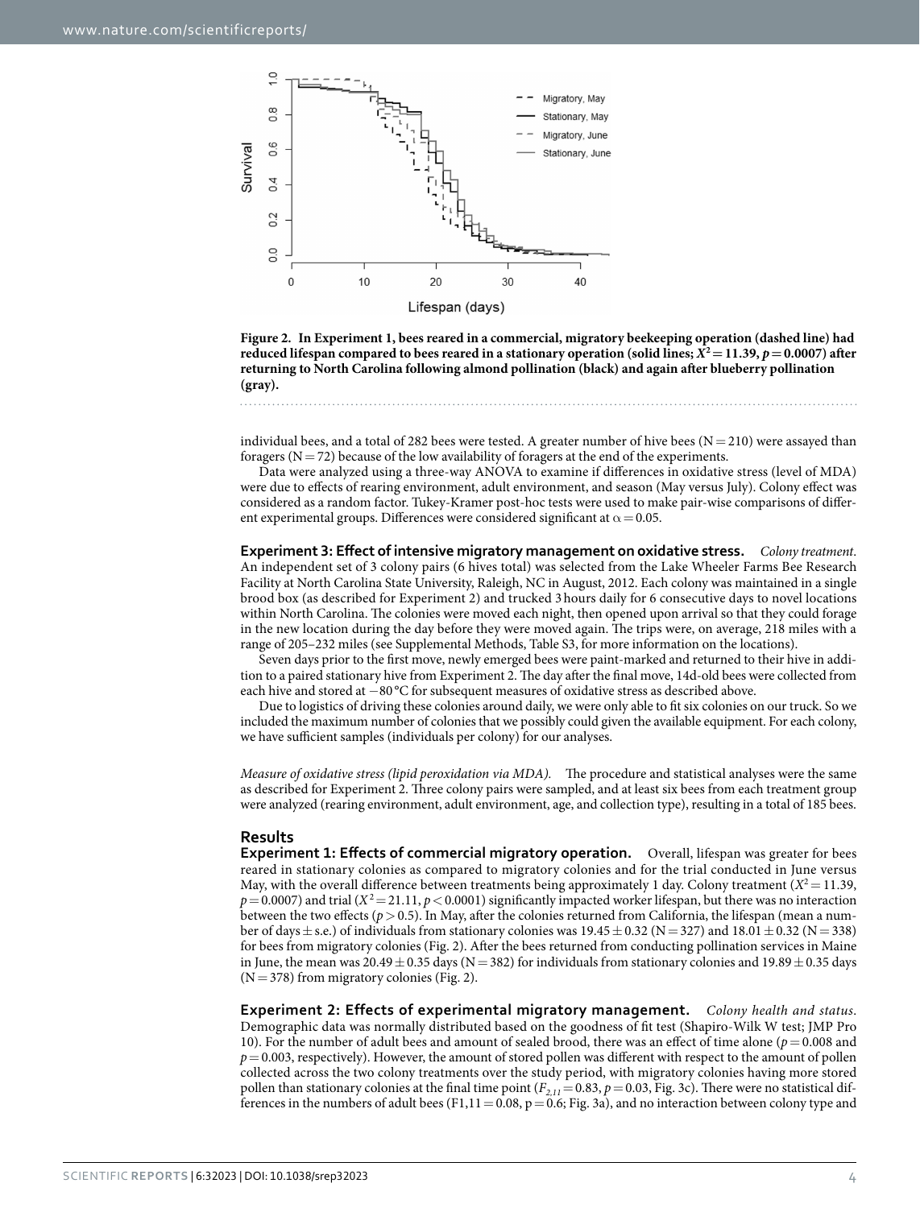

<span id="page-4-0"></span>**Figure 2. In Experiment 1, bees reared in a commercial, migratory beekeeping operation (dashed line) had reduced lifespan compared to bees reared in a stationary operation (solid lines;**  $X^2 = 11.39$ **,**  $p = 0.0007$ **) after returning to North Carolina following almond pollination (black) and again after blueberry pollination (gray).** 

individual bees, and a total of 282 bees were tested. A greater number of hive bees  $(N= 210)$  were assayed than foragers ( $N=72$ ) because of the low availability of foragers at the end of the experiments.

Data were analyzed using a three-way ANOVA to examine if differences in oxidative stress (level of MDA) were due to effects of rearing environment, adult environment, and season (May versus July). Colony effect was considered as a random factor. Tukey-Kramer post-hoc tests were used to make pair-wise comparisons of different experimental groups. Differences were considered significant at  $\alpha$  = 0.05.

**Experiment 3: Effect of intensive migratory management on oxidative stress.** *Colony treatment*. An independent set of 3 colony pairs (6 hives total) was selected from the Lake Wheeler Farms Bee Research Facility at North Carolina State University, Raleigh, NC in August, 2012. Each colony was maintained in a single brood box (as described for Experiment 2) and trucked 3 hours daily for 6 consecutive days to novel locations within North Carolina. The colonies were moved each night, then opened upon arrival so that they could forage in the new location during the day before they were moved again. The trips were, on average, 218 miles with a range of 205–232 miles (see Supplemental Methods, Table S3, for more information on the locations).

Seven days prior to the first move, newly emerged bees were paint-marked and returned to their hive in addition to a paired stationary hive from Experiment 2. The day after the final move, 14d-old bees were collected from each hive and stored at −80 °C for subsequent measures of oxidative stress as described above.

Due to logistics of driving these colonies around daily, we were only able to fit six colonies on our truck. So we included the maximum number of colonies that we possibly could given the available equipment. For each colony, we have sufficient samples (individuals per colony) for our analyses.

*Measure of oxidative stress (lipid peroxidation via MDA).* The procedure and statistical analyses were the same as described for Experiment 2. Three colony pairs were sampled, and at least six bees from each treatment group were analyzed (rearing environment, adult environment, age, and collection type), resulting in a total of 185 bees.

#### **Results**

**Experiment 1: Effects of commercial migratory operation.** Overall, lifespan was greater for bees reared in stationary colonies as compared to migratory colonies and for the trial conducted in June versus May, with the overall difference between treatments being approximately 1 day. Colony treatment  $(X^2 = 11.39)$ ,  $p = 0.0007$  and trial (*X*<sup>2</sup> = 21.11, *p* < 0.0001) significantly impacted worker lifespan, but there was no interaction between the two effects ( $p > 0.5$ ). In May, after the colonies returned from California, the lifespan (mean a number of days  $\pm$  s.e.) of individuals from stationary colonies was 19.45  $\pm$  0.32 (N = 327) and 18.01  $\pm$  0.32 (N = 338) for bees from migratory colonies ([Fig. 2](#page-4-0)). After the bees returned from conducting pollination services in Maine in June, the mean was  $20.49 \pm 0.35$  days (N = 382) for individuals from stationary colonies and 19.89 $\pm$ 0.35 days  $(N=378)$  from migratory colonies ([Fig. 2](#page-4-0)).

**Experiment 2: Effects of experimental migratory management.** *Colony health and status*. Demographic data was normally distributed based on the goodness of fit test (Shapiro-Wilk W test; JMP Pro 10). For the number of adult bees and amount of sealed brood, there was an effect of time alone (*p*= 0.008 and  $p=0.003$ , respectively). However, the amount of stored pollen was different with respect to the amount of pollen collected across the two colony treatments over the study period, with migratory colonies having more stored pollen than stationary colonies at the final time point  $(F_{2,11}=0.83, p=0.03,$  [Fig. 3c](#page-5-0)). There were no statistical dif-ferences in the numbers of adult bees (F1,11 = 0.08, p = 0.6; [Fig. 3a\)](#page-5-0), and no interaction between colony type and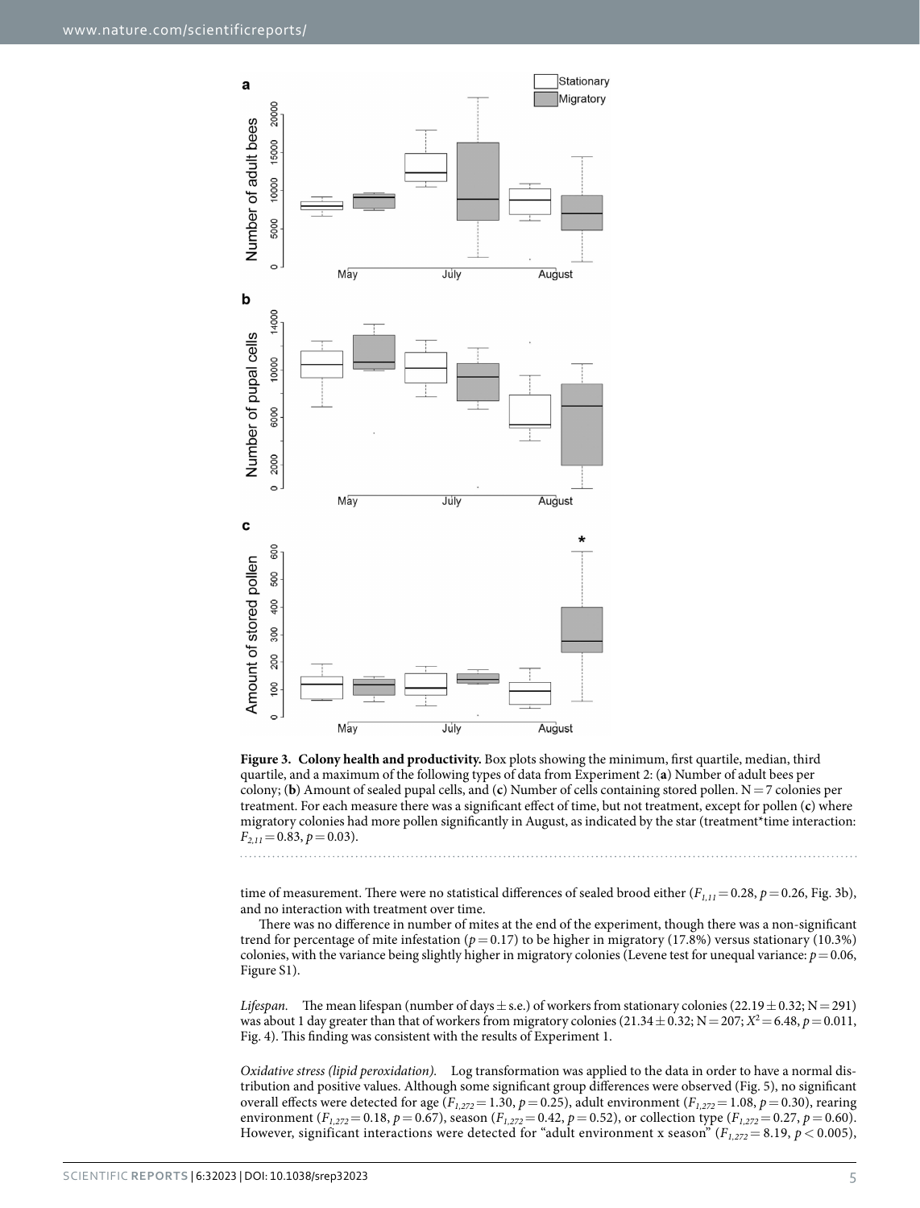

<span id="page-5-0"></span>**Figure 3. Colony health and productivity.** Box plots showing the minimum, first quartile, median, third quartile, and a maximum of the following types of data from Experiment 2: (**a**) Number of adult bees per colony; (**b**) Amount of sealed pupal cells, and (**c**) Number of cells containing stored pollen. N=7 colonies per treatment. For each measure there was a significant effect of time, but not treatment, except for pollen (**c**) where migratory colonies had more pollen significantly in August, as indicated by the star (treatment\*time interaction: *F2,11*=0.83, *p*=0.03).

time of measurement. There were no statistical differences of sealed brood either ( $F_{1,11}=0.28$ ,  $p=0.26$ , [Fig. 3b](#page-5-0)), and no interaction with treatment over time.

There was no difference in number of mites at the end of the experiment, though there was a non-significant trend for percentage of mite infestation ( $p=0.17$ ) to be higher in migratory (17.8%) versus stationary (10.3%) colonies, with the variance being slightly higher in migratory colonies (Levene test for unequal variance:  $p = 0.06$ , Figure S1).

*Lifespan.* The mean lifespan (number of days  $\pm$  s.e.) of workers from stationary colonies (22.19 $\pm$  0.32; N = 291) was about 1 day greater than that of workers from migratory colonies (21.34  $\pm$  0.32; N = 207; *X*<sup>2</sup> = 6.48, *p* = 0.011, [Fig. 4](#page-6-0)). This finding was consistent with the results of Experiment 1.

*Oxidative stress (lipid peroxidation).* Log transformation was applied to the data in order to have a normal distribution and positive values. Although some significant group differences were observed ([Fig. 5\)](#page-6-1), no significant overall effects were detected for age (*F1,272*= 1.30, *p*= 0.25), adult environment (*F1,272*= 1.08, *p*= 0.30), rearing environment ( $F_{1,272}$  = 0.18,  $p$  = 0.67), season ( $F_{1,272}$  = 0.42,  $p$  = 0.52), or collection type ( $F_{1,272}$  = 0.27,  $p$  = 0.60). However, significant interactions were detected for "adult environment x season"  $(F_{1,272} = 8.19, p < 0.005)$ ,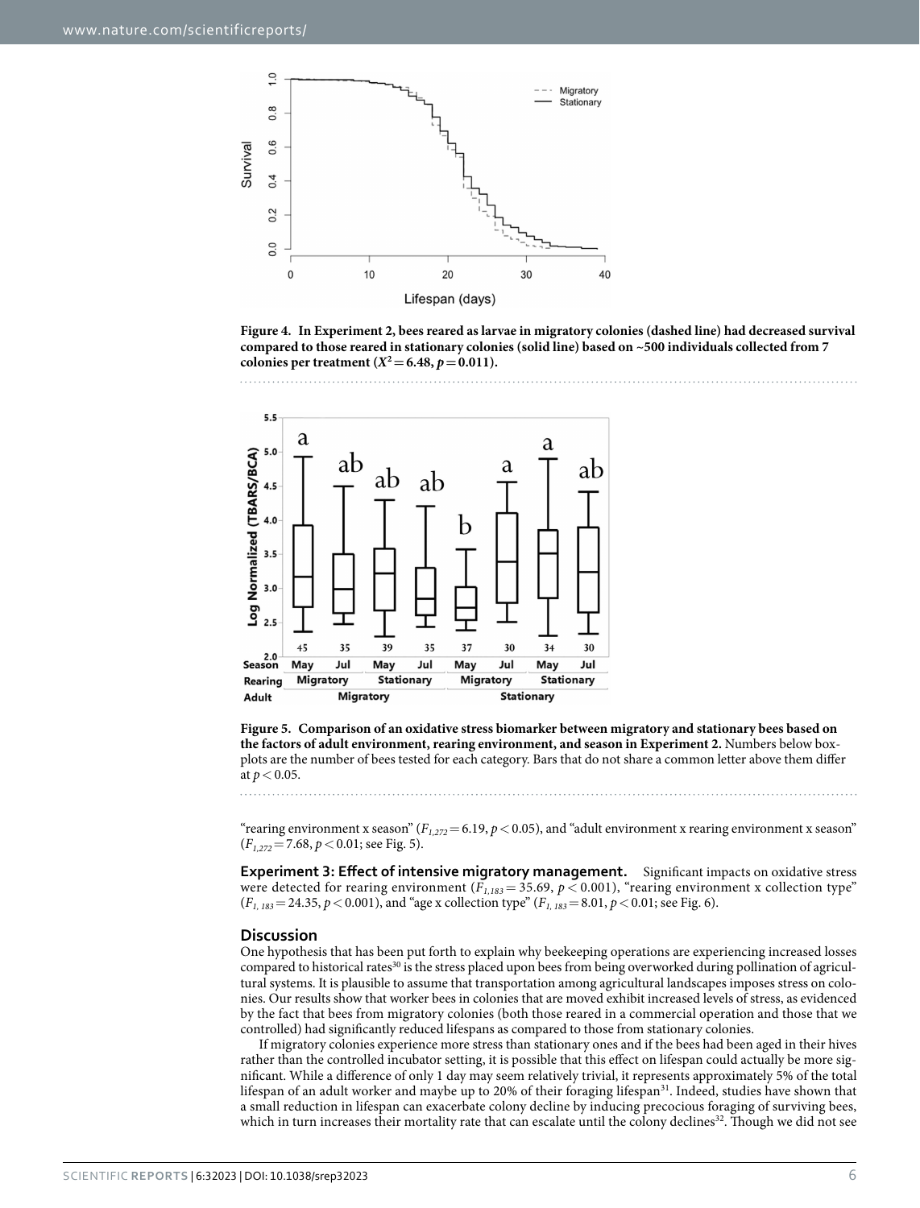

<span id="page-6-0"></span>**Figure 4. In Experiment 2, bees reared as larvae in migratory colonies (dashed line) had decreased survival compared to those reared in stationary colonies (solid line) based on ~500 individuals collected from 7 colonies per treatment (** $X^2 = 6.48$ **,**  $p = 0.011$ **).** 



<span id="page-6-1"></span>**Figure 5. Comparison of an oxidative stress biomarker between migratory and stationary bees based on the factors of adult environment, rearing environment, and season in Experiment 2.** Numbers below boxplots are the number of bees tested for each category. Bars that do not share a common letter above them differ at  $p < 0.05$ .

"rearing environment x season" ( $F_{1,272}$  = 6.19,  $p$  < 0.05), and "adult environment x rearing environment x season" (*F1,272*=7.68, *p*<0.01; see [Fig. 5](#page-6-1)).

**Experiment 3: Effect of intensive migratory management.** Significant impacts on oxidative stress were detected for rearing environment ( $F_{1,183}$  = 35.69,  $p$  < 0.001), "rearing environment x collection type"  $(F_{1, 183} = 24.35, p < 0.001)$ , and "age x collection type"  $(F_{1, 183} = 8.01, p < 0.01$ ; see [Fig. 6](#page-7-0)).

#### **Discussion**

One hypothesis that has been put forth to explain why beekeeping operations are experiencing increased losses compared to historical rates<sup>30</sup> is the stress placed upon bees from being overworked during pollination of agricultural systems. It is plausible to assume that transportation among agricultural landscapes imposes stress on colonies. Our results show that worker bees in colonies that are moved exhibit increased levels of stress, as evidenced by the fact that bees from migratory colonies (both those reared in a commercial operation and those that we controlled) had significantly reduced lifespans as compared to those from stationary colonies.

If migratory colonies experience more stress than stationary ones and if the bees had been aged in their hives rather than the controlled incubator setting, it is possible that this effect on lifespan could actually be more significant. While a difference of only 1 day may seem relatively trivial, it represents approximately 5% of the total lifespan of an adult worker and maybe up to 20% of their foraging lifespan<sup>[31](#page-9-12)</sup>. Indeed, studies have shown that a small reduction in lifespan can exacerbate colony decline by inducing precocious foraging of surviving bees, which in turn increases their mortality rate that can escalate until the colony declines<sup>32</sup>. Though we did not see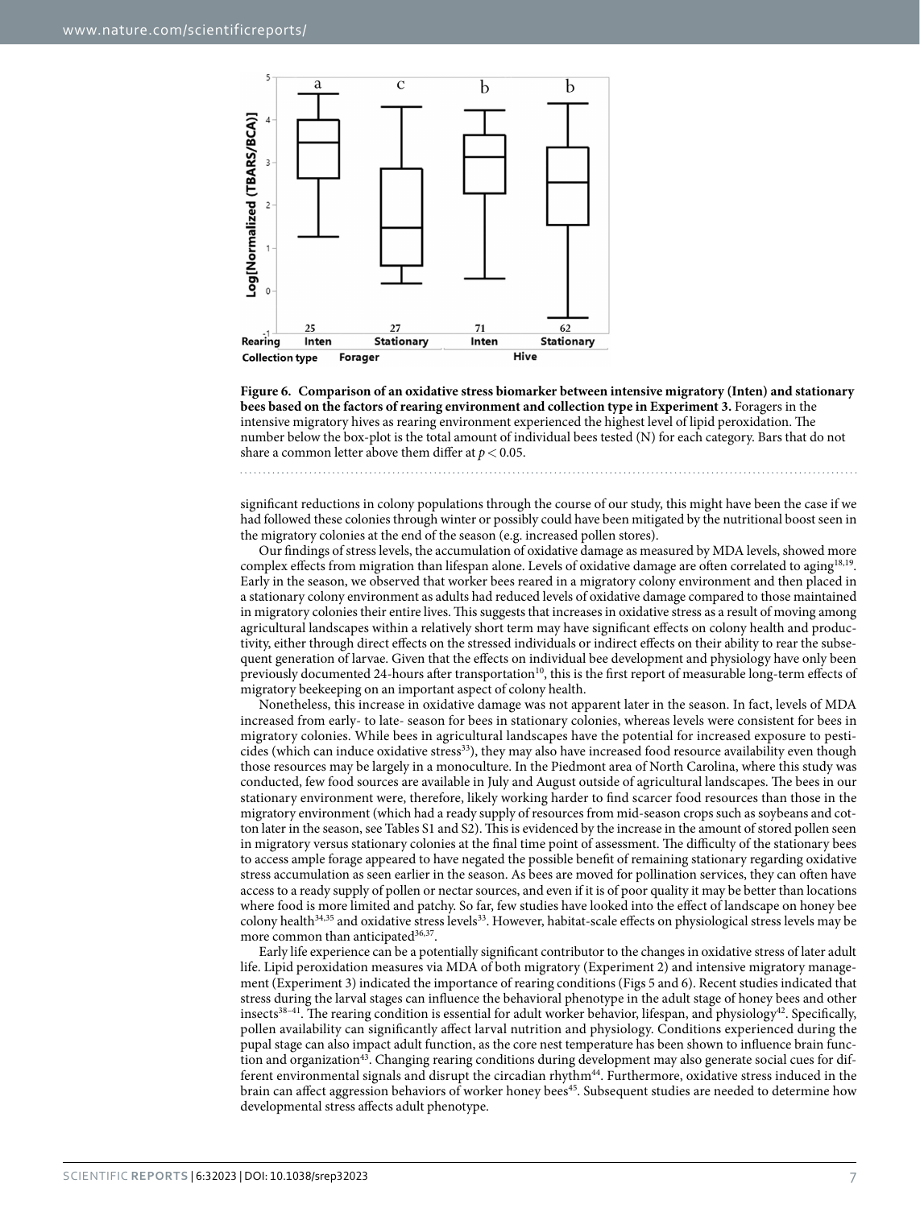

<span id="page-7-0"></span>**Figure 6. Comparison of an oxidative stress biomarker between intensive migratory (Inten) and stationary bees based on the factors of rearing environment and collection type in Experiment 3. Foragers in the** intensive migratory hives as rearing environment experienced the highest level of lipid peroxidation. The number below the box-plot is the total amount of individual bees tested (N) for each category. Bars that do not share a common letter above them differ at  $p < 0.05$ .

significant reductions in colony populations through the course of our study, this might have been the case if we had followed these colonies through winter or possibly could have been mitigated by the nutritional boost seen in the migratory colonies at the end of the season (e.g. increased pollen stores).

Our findings of stress levels, the accumulation of oxidative damage as measured by MDA levels, showed more complex effects from migration than lifespan alone. Levels of oxidative damage are often correlated to aging<sup>[18,](#page-9-2)19</sup>. Early in the season, we observed that worker bees reared in a migratory colony environment and then placed in a stationary colony environment as adults had reduced levels of oxidative damage compared to those maintained in migratory colonies their entire lives. This suggests that increases in oxidative stress as a result of moving among agricultural landscapes within a relatively short term may have significant effects on colony health and productivity, either through direct effects on the stressed individuals or indirect effects on their ability to rear the subsequent generation of larvae. Given that the effects on individual bee development and physiology have only been previously documented 24-hours after transportation<sup>[10](#page-8-7)</sup>, this is the first report of measurable long-term effects of migratory beekeeping on an important aspect of colony health.

Nonetheless, this increase in oxidative damage was not apparent later in the season. In fact, levels of MDA increased from early- to late- season for bees in stationary colonies, whereas levels were consistent for bees in migratory colonies. While bees in agricultural landscapes have the potential for increased exposure to pesti-cides (which can induce oxidative stress<sup>[33](#page-9-14)</sup>), they may also have increased food resource availability even though those resources may be largely in a monoculture. In the Piedmont area of North Carolina, where this study was conducted, few food sources are available in July and August outside of agricultural landscapes. The bees in our stationary environment were, therefore, likely working harder to find scarcer food resources than those in the migratory environment (which had a ready supply of resources from mid-season crops such as soybeans and cotton later in the season, see Tables S1 and S2). This is evidenced by the increase in the amount of stored pollen seen in migratory versus stationary colonies at the final time point of assessment. The difficulty of the stationary bees to access ample forage appeared to have negated the possible benefit of remaining stationary regarding oxidative stress accumulation as seen earlier in the season. As bees are moved for pollination services, they can often have access to a ready supply of pollen or nectar sources, and even if it is of poor quality it may be better than locations where food is more limited and patchy. So far, few studies have looked into the effect of landscape on honey bee colony health<sup>[34](#page-9-15),[35](#page-9-16)</sup> and oxidative stress levels<sup>33</sup>. However, habitat-scale effects on physiological stress levels may be more common than anticipated<sup>[36](#page-9-17),[37](#page-9-18)</sup>.

Early life experience can be a potentially significant contributor to the changes in oxidative stress of later adult life. Lipid peroxidation measures via MDA of both migratory (Experiment 2) and intensive migratory management (Experiment 3) indicated the importance of rearing conditions [\(Figs 5](#page-6-1) and [6](#page-7-0)). Recent studies indicated that stress during the larval stages can influence the behavioral phenotype in the adult stage of honey bees and other insects<sup>38–41</sup>. The rearing condition is essential for adult worker behavior, lifespan, and physiology<sup>[42](#page-9-20)</sup>. Specifically, pollen availability can significantly affect larval nutrition and physiology. Conditions experienced during the pupal stage can also impact adult function, as the core nest temperature has been shown to influence brain function and organizatio[n43.](#page-9-21) Changing rearing conditions during development may also generate social cues for different environmental signals and disrupt the circadian rhythm<sup>44</sup>. Furthermore, oxidative stress induced in the brain can affect aggression behaviors of worker honey bees<sup>45</sup>. Subsequent studies are needed to determine how developmental stress affects adult phenotype.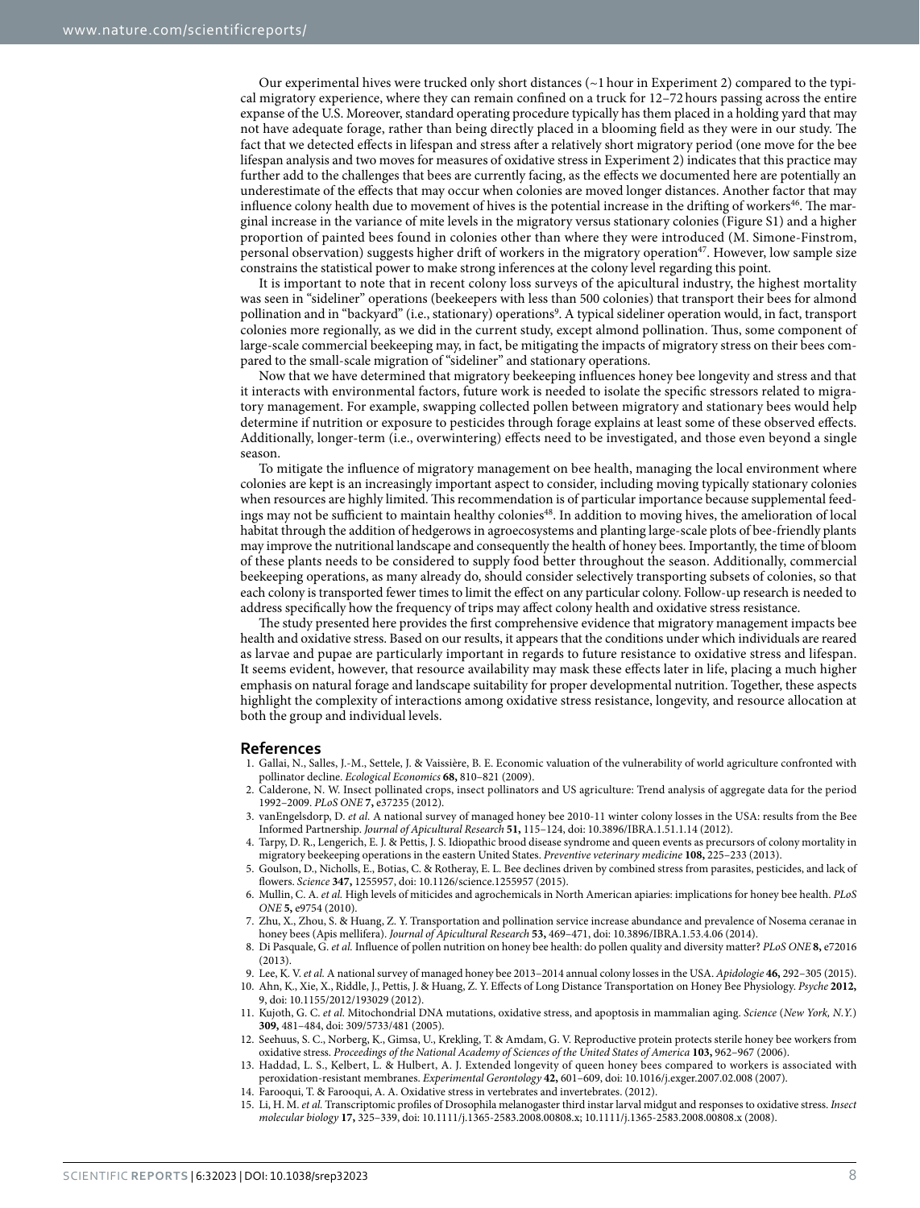Our experimental hives were trucked only short distances  $(\sim 1$  hour in Experiment 2) compared to the typical migratory experience, where they can remain confined on a truck for 12–72hours passing across the entire expanse of the U.S. Moreover, standard operating procedure typically has them placed in a holding yard that may not have adequate forage, rather than being directly placed in a blooming field as they were in our study. The fact that we detected effects in lifespan and stress after a relatively short migratory period (one move for the bee lifespan analysis and two moves for measures of oxidative stress in Experiment 2) indicates that this practice may further add to the challenges that bees are currently facing, as the effects we documented here are potentially an underestimate of the effects that may occur when colonies are moved longer distances. Another factor that may influence colony health due to movement of hives is the potential increase in the drifting of workers<sup>46</sup>. The marginal increase in the variance of mite levels in the migratory versus stationary colonies (Figure S1) and a higher proportion of painted bees found in colonies other than where they were introduced (M. Simone-Finstrom, personal observation) suggests higher drift of workers in the migratory operation[47.](#page-9-25) However, low sample size constrains the statistical power to make strong inferences at the colony level regarding this point.

It is important to note that in recent colony loss surveys of the apicultural industry, the highest mortality was seen in "sideliner" operations (beekeepers with less than 500 colonies) that transport their bees for almond pollination and in "backyard" (i.e., stationary) operations<sup>[9](#page-8-6)</sup>. A typical sideliner operation would, in fact, transport colonies more regionally, as we did in the current study, except almond pollination. Thus, some component of large-scale commercial beekeeping may, in fact, be mitigating the impacts of migratory stress on their bees compared to the small-scale migration of "sideliner" and stationary operations.

Now that we have determined that migratory beekeeping influences honey bee longevity and stress and that it interacts with environmental factors, future work is needed to isolate the specific stressors related to migratory management. For example, swapping collected pollen between migratory and stationary bees would help determine if nutrition or exposure to pesticides through forage explains at least some of these observed effects. Additionally, longer-term (i.e., overwintering) effects need to be investigated, and those even beyond a single season.

To mitigate the influence of migratory management on bee health, managing the local environment where colonies are kept is an increasingly important aspect to consider, including moving typically stationary colonies when resources are highly limited. This recommendation is of particular importance because supplemental feedings may not be sufficient to maintain healthy colonies<sup>48</sup>. In addition to moving hives, the amelioration of local habitat through the addition of hedgerows in agroecosystems and planting large-scale plots of bee-friendly plants may improve the nutritional landscape and consequently the health of honey bees. Importantly, the time of bloom of these plants needs to be considered to supply food better throughout the season. Additionally, commercial beekeeping operations, as many already do, should consider selectively transporting subsets of colonies, so that each colony is transported fewer times to limit the effect on any particular colony. Follow-up research is needed to address specifically how the frequency of trips may affect colony health and oxidative stress resistance.

The study presented here provides the first comprehensive evidence that migratory management impacts bee health and oxidative stress. Based on our results, it appears that the conditions under which individuals are reared as larvae and pupae are particularly important in regards to future resistance to oxidative stress and lifespan. It seems evident, however, that resource availability may mask these effects later in life, placing a much higher emphasis on natural forage and landscape suitability for proper developmental nutrition. Together, these aspects highlight the complexity of interactions among oxidative stress resistance, longevity, and resource allocation at both the group and individual levels.

#### **References**

- <span id="page-8-0"></span>1. Gallai, N., Salles, J.-M., Settele, J. & Vaissière, B. E. Economic valuation of the vulnerability of world agriculture confronted with pollinator decline. *Ecological Economics* **68,** 810–821 (2009).
- <span id="page-8-1"></span>2. Calderone, N. W. Insect pollinated crops, insect pollinators and US agriculture: Trend analysis of aggregate data for the period 1992–2009. *PLoS ONE* **7,** e37235 (2012).
- <span id="page-8-2"></span>3. vanEngelsdorp, D. *et al.* A national survey of managed honey bee 2010-11 winter colony losses in the USA: results from the Bee Informed Partnership. *Journal of Apicultural Research* **51,** 115–124, doi: 10.3896/IBRA.1.51.1.14 (2012).
- 4. Tarpy, D. R., Lengerich, E. J. & Pettis, J. S. Idiopathic brood disease syndrome and queen events as precursors of colony mortality in migratory beekeeping operations in the eastern United States. *Preventive veterinary medicine* **108,** 225–233 (2013).
- 5. Goulson, D., Nicholls, E., Botias, C. & Rotheray, E. L. Bee declines driven by combined stress from parasites, pesticides, and lack of flowers. *Science* **347,** 1255957, doi: 10.1126/science.1255957 (2015).
- <span id="page-8-3"></span>6. Mullin, C. A. *et al.* High levels of miticides and agrochemicals in North American apiaries: implications for honey bee health. *PLoS ONE* **5,** e9754 (2010).
- <span id="page-8-4"></span>7. Zhu, X., Zhou, S. & Huang, Z. Y. Transportation and pollination service increase abundance and prevalence of Nosema ceranae in honey bees (Apis mellifera). *Journal of Apicultural Research* **53,** 469–471, doi: 10.3896/IBRA.1.53.4.06 (2014).
- <span id="page-8-5"></span>8. Di Pasquale, G. *et al.* Influence of pollen nutrition on honey bee health: do pollen quality and diversity matter? *PLoS ONE* **8,** e72016 (2013).
- <span id="page-8-7"></span><span id="page-8-6"></span>9. Lee, K. V. *et al.* A national survey of managed honey bee 2013–2014 annual colony losses in the USA. *Apidologie* **46,** 292–305 (2015).
- 10. Ahn, K., Xie, X., Riddle, J., Pettis, J. & Huang, Z. Y. Effects of Long Distance Transportation on Honey Bee Physiology. *Psyche* **2012,** 9, doi: 10.1155/2012/193029 (2012).
- <span id="page-8-8"></span>11. Kujoth, G. C. *et al.* Mitochondrial DNA mutations, oxidative stress, and apoptosis in mammalian aging. *Science* (*New York, N.Y.*) **309,** 481–484, doi: 309/5733/481 (2005).
- <span id="page-8-9"></span>12. Seehuus, S. C., Norberg, K., Gimsa, U., Krekling, T. & Amdam, G. V. Reproductive protein protects sterile honey bee workers from oxidative stress. *Proceedings of the National Academy of Sciences of the United States of America* **103,** 962–967 (2006).
- <span id="page-8-10"></span>13. Haddad, L. S., Kelbert, L. & Hulbert, A. J. Extended longevity of queen honey bees compared to workers is associated with peroxidation-resistant membranes. *Experimental Gerontology* **42,** 601–609, doi: 10.1016/j.exger.2007.02.008 (2007).
- <span id="page-8-11"></span>14. Farooqui, T. & Farooqui, A. A. Oxidative stress in vertebrates and invertebrates. (2012).
- <span id="page-8-12"></span>15. Li, H. M. *et al.* Transcriptomic profiles of Drosophila melanogaster third instar larval midgut and responses to oxidative stress. *Insect molecular biology* **17,** 325–339, doi: 10.1111/j.1365-2583.2008.00808.x; 10.1111/j.1365-2583.2008.00808.x (2008).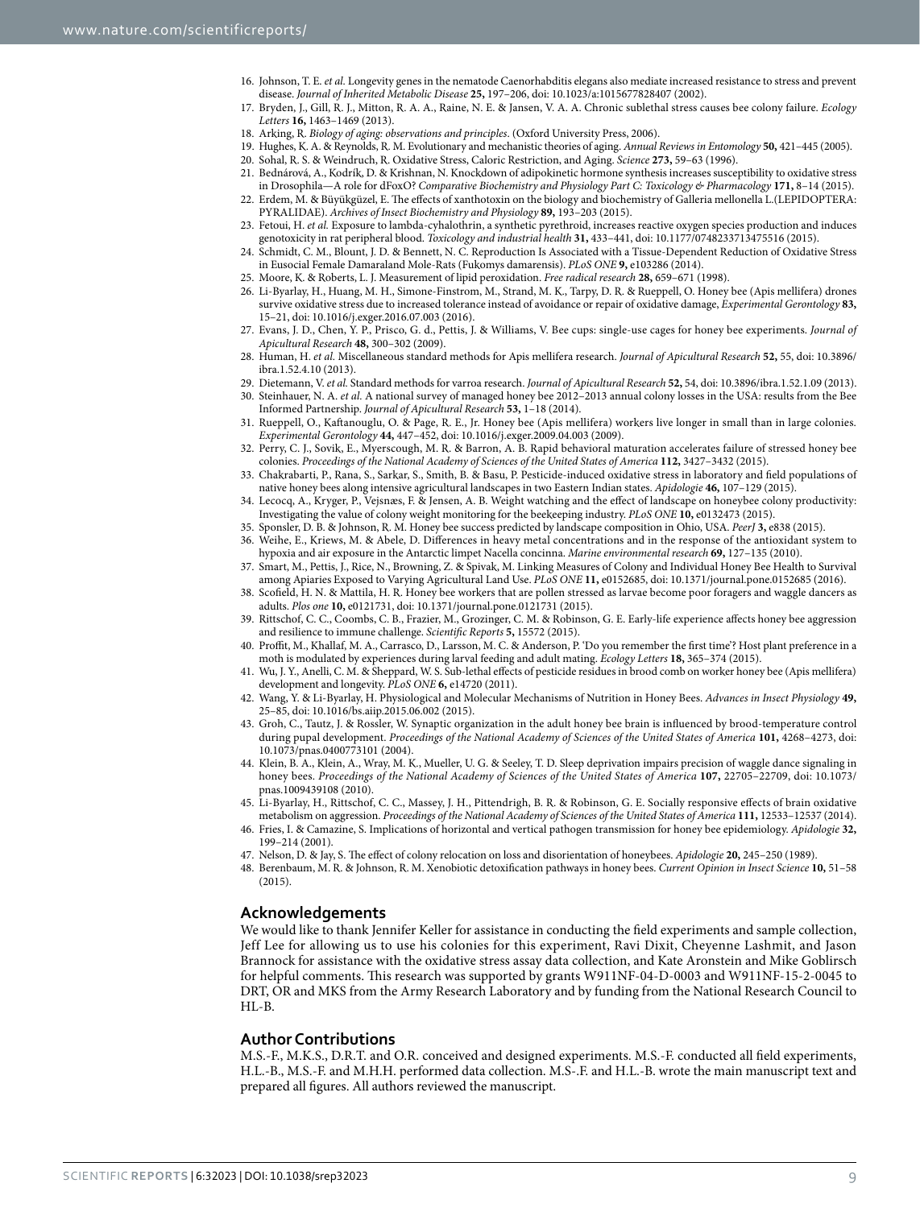- <span id="page-9-0"></span>16. Johnson, T. E. *et al.* Longevity genes in the nematode Caenorhabditis elegans also mediate increased resistance to stress and prevent disease. *Journal of Inherited Metabolic Disease* **25,** 197–206, doi: 10.1023/a:1015677828407 (2002).
- <span id="page-9-1"></span>17. Bryden, J., Gill, R. J., Mitton, R. A. A., Raine, N. E. & Jansen, V. A. A. Chronic sublethal stress causes bee colony failure. *Ecology Letters* **16,** 1463–1469 (2013).
- <span id="page-9-5"></span><span id="page-9-4"></span><span id="page-9-3"></span><span id="page-9-2"></span>18. Arking, R. *Biology of aging: observations and principles*. (Oxford University Press, 2006).
- <span id="page-9-16"></span><span id="page-9-15"></span><span id="page-9-14"></span><span id="page-9-13"></span><span id="page-9-12"></span><span id="page-9-11"></span><span id="page-9-10"></span><span id="page-9-9"></span><span id="page-9-8"></span><span id="page-9-7"></span><span id="page-9-6"></span>19. Hughes, K. A. & Reynolds, R. M. Evolutionary and mechanistic theories of aging. *Annual Reviews in Entomology* **50,** 421–445 (2005).
	- 20. Sohal, R. S. & Weindruch, R. Oxidative Stress, Caloric Restriction, and Aging. *Science* **273,** 59–63 (1996).
	- 21. Bednárová, A., Kodrík, D. & Krishnan, N. Knockdown of adipokinetic hormone synthesis increases susceptibility to oxidative stress in Drosophila—A role for dFoxO? *Comparative Biochemistry and Physiology Part C: Toxicology & Pharmacology* **171,** 8–14 (2015).
	- 22. Erdem, M. & Büyükgüzel, E. The effects of xanthotoxin on the biology and biochemistry of Galleria mellonella L.(LEPIDOPTERA: PYRALIDAE). *Archives of Insect Biochemistry and Physiology* **89,** 193–203 (2015).
	- 23. Fetoui, H. *et al.* Exposure to lambda-cyhalothrin, a synthetic pyrethroid, increases reactive oxygen species production and induces genotoxicity in rat peripheral blood. *Toxicology and industrial health* **31,** 433–441, doi: 10.1177/0748233713475516 (2015).
	- 24. Schmidt, C. M., Blount, J. D. & Bennett, N. C. Reproduction Is Associated with a Tissue-Dependent Reduction of Oxidative Stress in Eusocial Female Damaraland Mole-Rats (Fukomys damarensis). *PLoS ONE* **9,** e103286 (2014).
	- 25. Moore, K. & Roberts, L. J. Measurement of lipid peroxidation. *Free radical research* **28,** 659–671 (1998).
	- 26. Li-Byarlay, H., Huang, M. H., Simone-Finstrom, M., Strand, M. K., Tarpy, D. R. & Rueppell, O. Honey bee (Apis mellifera) drones survive oxidative stress due to increased tolerance instead of avoidance or repair of oxidative damage, *Experimental Gerontology* **83,** 15–21, doi: 10.1016/j.exger.2016.07.003 (2016).
	- 27. Evans, J. D., Chen, Y. P., Prisco, G. d., Pettis, J. & Williams, V. Bee cups: single-use cages for honey bee experiments. *Journal of Apicultural Research* **48,** 300–302 (2009).
	- 28. Human, H. *et al.* Miscellaneous standard methods for Apis mellifera research. *Journal of Apicultural Research* **52,** 55, doi: 10.3896/ ibra.1.52.4.10 (2013).
	- 29. Dietemann, V. *et al.* Standard methods for varroa research. *Journal of Apicultural Research* **52,** 54, doi: 10.3896/ibra.1.52.1.09 (2013).
	- 30. Steinhauer, N. A. *et al.* A national survey of managed honey bee 2012–2013 annual colony losses in the USA: results from the Bee Informed Partnership. *Journal of Apicultural Research* **53,** 1–18 (2014).
	- 31. Rueppell, O., Kaftanouglu, O. & Page, R. E., Jr. Honey bee (Apis mellifera) workers live longer in small than in large colonies. *Experimental Gerontology* **44,** 447–452, doi: 10.1016/j.exger.2009.04.003 (2009).
	- 32. Perry, C. J., Sovik, E., Myerscough, M. R. & Barron, A. B. Rapid behavioral maturation accelerates failure of stressed honey bee colonies. *Proceedings of the National Academy of Sciences of the United States of America* **112,** 3427–3432 (2015).
	- 33. Chakrabarti, P., Rana, S., Sarkar, S., Smith, B. & Basu, P. Pesticide-induced oxidative stress in laboratory and field populations of native honey bees along intensive agricultural landscapes in two Eastern Indian states. *Apidologie* **46,** 107–129 (2015).
	- 34. Lecocq, A., Kryger, P., Vejsnæs, F. & Jensen, A. B. Weight watching and the effect of landscape on honeybee colony productivity: Investigating the value of colony weight monitoring for the beekeeping industry. *PLoS ONE* **10,** e0132473 (2015).
	- 35. Sponsler, D. B. & Johnson, R. M. Honey bee success predicted by landscape composition in Ohio, USA. *PeerJ* **3,** e838 (2015).
	- 36. Weihe, E., Kriews, M. & Abele, D. Differences in heavy metal concentrations and in the response of the antioxidant system to hypoxia and air exposure in the Antarctic limpet Nacella concinna. *Marine environmental research* **69,** 127–135 (2010).
	- 37. Smart, M., Pettis, J., Rice, N., Browning, Z. & Spivak, M. Linking Measures of Colony and Individual Honey Bee Health to Survival among Apiaries Exposed to Varying Agricultural Land Use. *PLoS ONE* **11,** e0152685, doi: 10.1371/journal.pone.0152685 (2016).
	- 38. Scofield, H. N. & Mattila, H. R. Honey bee workers that are pollen stressed as larvae become poor foragers and waggle dancers as adults. *Plos one* **10,** e0121731, doi: 10.1371/journal.pone.0121731 (2015).
	- 39. Rittschof, C. C., Coombs, C. B., Frazier, M., Grozinger, C. M. & Robinson, G. E. Early-life experience affects honey bee aggression and resilience to immune challenge. *Scientific Reports* **5,** 15572 (2015).
	- 40. Proffit, M., Khallaf, M. A., Carrasco, D., Larsson, M. C. & Anderson, P. 'Do you remember the first time'? Host plant preference in a moth is modulated by experiences during larval feeding and adult mating. *Ecology Letters* **18,** 365–374 (2015).
	- 41. Wu, J. Y., Anelli, C. M. & Sheppard, W. S. Sub-lethal effects of pesticide residues in brood comb on worker honey bee (Apis mellifera) development and longevity. *PLoS ONE* **6,** e14720 (2011).
	- 42. Wang, Y. & Li-Byarlay, H. Physiological and Molecular Mechanisms of Nutrition in Honey Bees. *Advances in Insect Physiology* **49,** 25–85, doi: 10.1016/bs.aiip.2015.06.002 (2015).
	- 43. Groh, C., Tautz, J. & Rossler, W. Synaptic organization in the adult honey bee brain is influenced by brood-temperature control during pupal development. *Proceedings of the National Academy of Sciences of the United States of America* **101,** 4268–4273, doi: 10.1073/pnas.0400773101 (2004).
	- 44. Klein, B. A., Klein, A., Wray, M. K., Mueller, U. G. & Seeley, T. D. Sleep deprivation impairs precision of waggle dance signaling in honey bees. *Proceedings of the National Academy of Sciences of the United States of America* **107,** 22705–22709, doi: 10.1073/ pnas.1009439108 (2010).
	- 45. Li-Byarlay, H., Rittschof, C. C., Massey, J. H., Pittendrigh, B. R. & Robinson, G. E. Socially responsive effects of brain oxidative metabolism on aggression. *Proceedings of the National Academy of Sciences of the United States of America* **111,** 12533–12537 (2014).
	- 46. Fries, I. & Camazine, S. Implications of horizontal and vertical pathogen transmission for honey bee epidemiology. *Apidologie* **32,** 199–214 (2001).
	- 47. Nelson, D. & Jay, S. The effect of colony relocation on loss and disorientation of honeybees. *Apidologie* **20,** 245–250 (1989).
	- 48. Berenbaum, M. R. & Johnson, R. M. Xenobiotic detoxification pathways in honey bees. *Current Opinion in Insect Science* **10,** 51–58 (2015).

#### <span id="page-9-26"></span><span id="page-9-25"></span><span id="page-9-24"></span><span id="page-9-23"></span><span id="page-9-22"></span><span id="page-9-21"></span><span id="page-9-20"></span><span id="page-9-19"></span><span id="page-9-18"></span><span id="page-9-17"></span>**Acknowledgements**

We would like to thank Jennifer Keller for assistance in conducting the field experiments and sample collection, Jeff Lee for allowing us to use his colonies for this experiment, Ravi Dixit, Cheyenne Lashmit, and Jason Brannock for assistance with the oxidative stress assay data collection, and Kate Aronstein and Mike Goblirsch for helpful comments. This research was supported by grants W911NF-04-D-0003 and W911NF-15-2-0045 to DRT, OR and MKS from the Army Research Laboratory and by funding from the National Research Council to HL-B.

#### **Author Contributions**

M.S.-F., M.K.S., D.R.T. and O.R. conceived and designed experiments. M.S.-F. conducted all field experiments, H.L.-B., M.S.-F. and M.H.H. performed data collection. M.S-.F. and H.L.-B. wrote the main manuscript text and prepared all figures. All authors reviewed the manuscript.